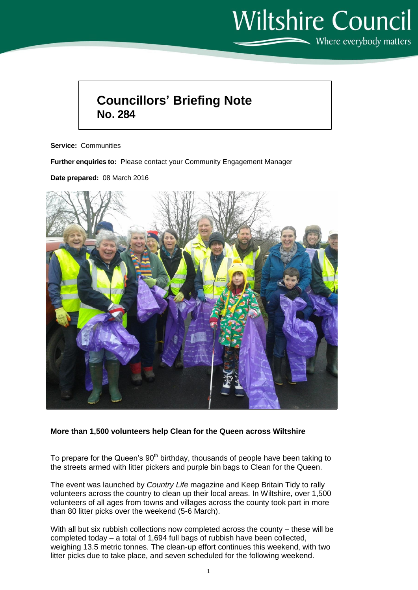## **Wiltshire Council**

Where everybody matters

## **Councillors' Briefing Note No. 284**

**Service:** Communities

**Further enquiries to:** Please contact your Community Engagement Manager

**Date prepared:** 08 March 2016



## **More than 1,500 volunteers help Clean for the Queen across Wiltshire**

To prepare for the Queen's 90<sup>th</sup> birthday, thousands of people have been taking to the streets armed with litter pickers and purple bin bags to Clean for the Queen.

The event was launched by *Country Life* magazine and Keep Britain Tidy to rally volunteers across the country to clean up their local areas. In Wiltshire, over 1,500 volunteers of all ages from towns and villages across the county took part in more than 80 litter picks over the weekend (5-6 March).

With all but six rubbish collections now completed across the county – these will be completed today – a total of 1,694 full bags of rubbish have been collected, weighing 13.5 metric tonnes. The clean-up effort continues this weekend, with two litter picks due to take place, and seven scheduled for the following weekend.